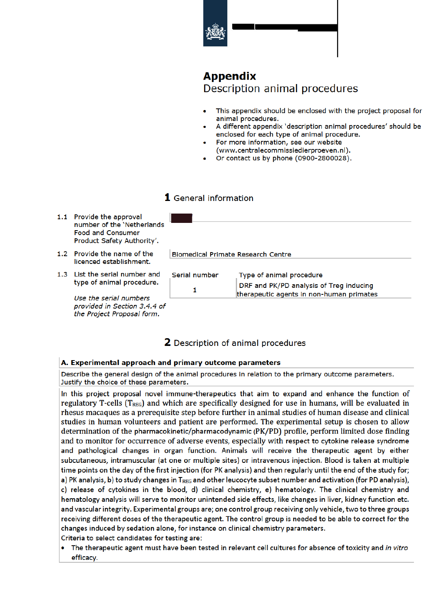# **Appendix**

Description animal procedures

- This appendix should be enclosed with the project proposal for animal procedures.
- A different appendix 'description animal procedures' should be enclosed for each type of animal procedure.
- For more information, see our website (www.centralecommissiedierproeven.nl).
- Or contact us by phone (0900-2800028).

# 1 General information

- 1.1 Provide the approval number of the 'Netherlands **Food and Consumer** Product Safety Authority'.
- 1.2 Provide the name of the licenced establishment.
- 1.3 List the serial number and type of animal procedure.

Use the serial numbers provided in Section 3.4.4 of the Project Proposal form.

|               | <b>Biomedical Primate Research Centre</b>                                           |
|---------------|-------------------------------------------------------------------------------------|
|               |                                                                                     |
| Serial number | Type of animal procedure                                                            |
|               | DRF and PK/PD analysis of Treg inducing<br>therapeutic agents in non-human primates |

**2** Description of animal procedures

# A. Experimental approach and primary outcome parameters

Describe the general design of the animal procedures in relation to the primary outcome parameters. Justify the choice of these parameters.

In this project proposal novel immune-therapeutics that aim to expand and enhance the function of regulatory T-cells  $(T_{REG})$  and which are specifically designed for use in humans, will be evaluated in rhesus macaques as a prerequisite step before further in animal studies of human disease and clinical studies in human volunteers and patient are performed. The experimental setup is chosen to allow determination of the pharmacokinetic/pharmacodynamic (PK/PD) profile, perform limited dose finding and to monitor for occurrence of adverse events, especially with respect to cytokine release syndrome and pathological changes in organ function. Animals will receive the therapeutic agent by either subcutaneous, intramuscular (at one or multiple sites) or intravenous injection. Blood is taken at multiple time points on the day of the first injection (for PK analysis) and then regularly until the end of the study for; a) PK analysis, b) to study changes in T<sub>REG</sub> and other leucocyte subset number and activation (for PD analysis), c) release of cytokines in the blood, d) clinical chemistry, e) hematology. The clinical chemistry and hematology analysis will serve to monitor unintended side effects, like changes in liver, kidney function etc. and vascular integrity. Experimental groups are; one control group receiving only vehicle, two to three groups receiving different doses of the therapeutic agent. The control group is needed to be able to correct for the changes induced by sedation alone, for instance on clinical chemistry parameters. Criteria to select candidates for testing are:

 $\bullet$ The therapeutic agent must have been tested in relevant cell cultures for absence of toxicity and in vitro efficacy.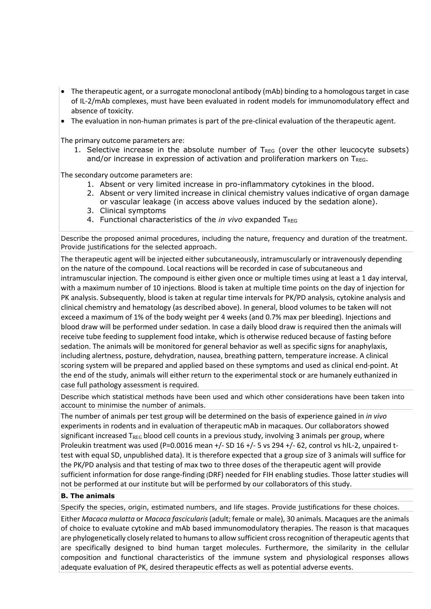- The therapeutic agent, or a surrogate monoclonal antibody (mAb) binding to a homologous target in case of IL-2/mAb complexes, must have been evaluated in rodent models for immunomodulatory effect and absence of toxicity.
- The evaluation in non-human primates is part of the pre-clinical evaluation of the therapeutic agent.

The primary outcome parameters are:

1. Selective increase in the absolute number of  $T_{REG}$  (over the other leucocyte subsets) and/or increase in expression of activation and proliferation markers on TREG.

The secondary outcome parameters are:

- 1. Absent or very limited increase in pro-inflammatory cytokines in the blood.
- 2. Absent or very limited increase in clinical chemistry values indicative of organ damage or vascular leakage (in access above values induced by the sedation alone).
- 3. Clinical symptoms
- 4. Functional characteristics of the *in vivo* expanded T<sub>REG</sub>

Describe the proposed animal procedures, including the nature, frequency and duration of the treatment. Provide justifications for the selected approach.

The therapeutic agent will be injected either subcutaneously, intramuscularly or intravenously depending on the nature of the compound. Local reactions will be recorded in case of subcutaneous and intramuscular injection. The compound is either given once or multiple times using at least a 1 day interval, with a maximum number of 10 injections. Blood is taken at multiple time points on the day of injection for PK analysis. Subsequently, blood is taken at regular time intervals for PK/PD analysis, cytokine analysis and clinical chemistry and hematology (as described above). In general, blood volumes to be taken will not exceed a maximum of 1% of the body weight per 4 weeks (and 0.7% max per bleeding). Injections and blood draw will be performed under sedation. In case a daily blood draw is required then the animals will receive tube feeding to supplement food intake, which is otherwise reduced because of fasting before sedation. The animals will be monitored for general behavior as well as specific signs for anaphylaxis, including alertness, posture, dehydration, nausea, breathing pattern, temperature increase. A clinical scoring system will be prepared and applied based on these symptoms and used as clinical end-point. At the end of the study, animals will either return to the experimental stock or are humanely euthanized in case full pathology assessment is required.

Describe which statistical methods have been used and which other considerations have been taken into account to minimise the number of animals.

The number of animals per test group will be determined on the basis of experience gained in *in vivo* experiments in rodents and in evaluation of therapeutic mAb in macaques. Our collaborators showed significant increased  $T_{\text{REG}}$  blood cell counts in a previous study, involving 3 animals per group, where Proleukin treatment was used (P=0.0016 mean +/- SD 16 +/- 5 vs 294 +/- 62, control vs hIL-2, unpaired ttest with equal SD, unpublished data). It is therefore expected that a group size of 3 animals will suffice for the PK/PD analysis and that testing of max two to three doses of the therapeutic agent will provide sufficient information for dose range-finding (DRF) needed for FIH enabling studies. Those latter studies will not be performed at our institute but will be performed by our collaborators of this study.

## **B. The animals**

Specify the species, origin, estimated numbers, and life stages. Provide justifications for these choices.

Either *Macaca mulatta* or *Macaca fascicularis*(adult; female or male), 30 animals. Macaques are the animals of choice to evaluate cytokine and mAb based immunomodulatory therapies. The reason is that macaques are phylogenetically closely related to humans to allow sufficient cross recognition of therapeutic agents that are specifically designed to bind human target molecules. Furthermore, the similarity in the cellular composition and functional characteristics of the immune system and physiological responses allows adequate evaluation of PK, desired therapeutic effects as well as potential adverse events.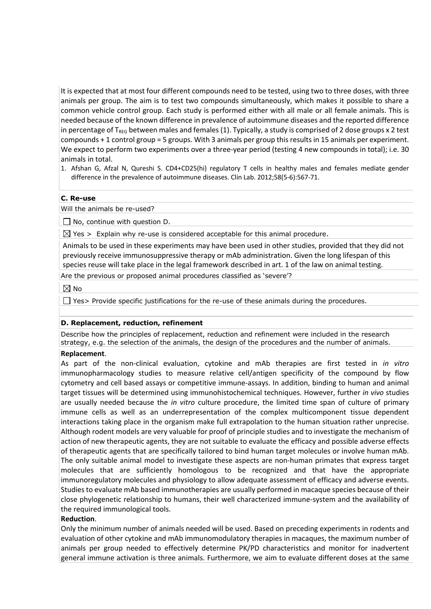It is expected that at most four different compounds need to be tested, using two to three doses, with three animals per group. The aim is to test two compounds simultaneously, which makes it possible to share a common vehicle control group. Each study is performed either with all male or all female animals. This is needed because of the known difference in prevalence of autoimmune diseases and the reported difference in percentage of  $T_{\text{REG}}$  between males and females (1). Typically, a study is comprised of 2 dose groups x 2 test compounds + 1 control group = 5 groups. With 3 animals per group this results in 15 animals per experiment. We expect to perform two experiments over a three-year period (testing 4 new compounds in total); i.e. 30 animals in total.

1. Afshan G, Afzal N, Qureshi S. CD4+CD25(hi) regulatory T cells in healthy males and females mediate gender difference in the prevalence of autoimmune diseases. Clin Lab. 2012;58(5-6):567-71.

#### **C. Re-use**

Will the animals be re-used?

 $\Box$  No, continue with question D.

 $\boxtimes$  Yes > Explain why re-use is considered acceptable for this animal procedure.

Animals to be used in these experiments may have been used in other studies, provided that they did not previously receive immunosuppressive therapy or mAb administration. Given the long lifespan of this species reuse will take place in the legal framework described in art. 1 of the law on animal testing.

Are the previous or proposed animal procedures classified as 'severe'?

 $\boxtimes$  No

 $\Box$  Yes> Provide specific justifications for the re-use of these animals during the procedures.

#### **D. Replacement, reduction, refinement**

Describe how the principles of replacement, reduction and refinement were included in the research strategy, e.g. the selection of the animals, the design of the procedures and the number of animals.

#### **Replacement**.

As part of the non-clinical evaluation, cytokine and mAb therapies are first tested in *in vitro* immunopharmacology studies to measure relative cell/antigen specificity of the compound by flow cytometry and cell based assays or competitive immune-assays. In addition, binding to human and animal target tissues will be determined using immunohistochemical techniques. However, further *in vivo* studies are usually needed because the *in vitro* culture procedure, the limited time span of culture of primary immune cells as well as an underrepresentation of the complex multicomponent tissue dependent interactions taking place in the organism make full extrapolation to the human situation rather unprecise. Although rodent models are very valuable for proof of principle studies and to investigate the mechanism of action of new therapeutic agents, they are not suitable to evaluate the efficacy and possible adverse effects of therapeutic agents that are specifically tailored to bind human target molecules or involve human mAb. The only suitable animal model to investigate these aspects are non-human primates that express target molecules that are sufficiently homologous to be recognized and that have the appropriate immunoregulatory molecules and physiology to allow adequate assessment of efficacy and adverse events. Studies to evaluate mAb based immunotherapies are usually performed in macaque species because of their close phylogenetic relationship to humans, their well characterized immune-system and the availability of the required immunological tools.

#### **Reduction**.

Only the minimum number of animals needed will be used. Based on preceding experiments in rodents and evaluation of other cytokine and mAb immunomodulatory therapies in macaques, the maximum number of animals per group needed to effectively determine PK/PD characteristics and monitor for inadvertent general immune activation is three animals. Furthermore, we aim to evaluate different doses at the same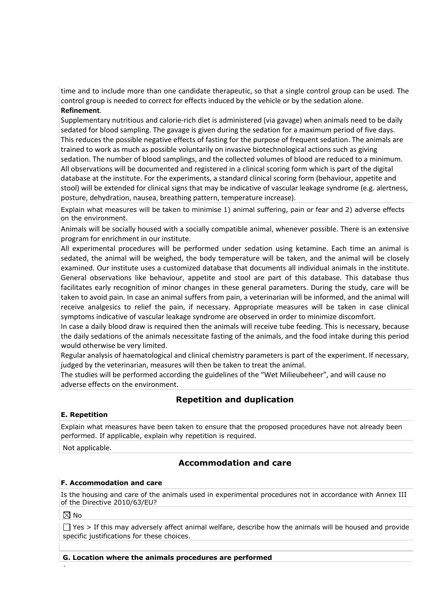time and to include more than one candidate therapeutic, so that a single control group can be used. The control group is needed to correct for effects induced by the vehicle or by the sedation alone. **Refinement**.

Supplementary nutritious and calorie-rich diet is administered (via gavage) when animals need to be daily sedated for blood sampling. The gavage is given during the sedation for a maximum period of five days. This reduces the possible negative effects of fasting for the purpose of frequent sedation. The animals are trained to work as much as possible voluntarily on invasive biotechnological actions such as giving sedation. The number of blood samplings, and the collected volumes of blood are reduced to a minimum. All observations will be documented and registered in a clinical scoring form which is part of the digital database at the institute. For the experiments, a standard clinical scoring form (behaviour, appetite and stool) will be extended for clinical signs that may be indicative of vascular leakage syndrome (e.g. alertness, posture, dehydration, nausea, breathing pattern, temperature increase).

Explain what measures will be taken to minimise 1) animal suffering, pain or fear and 2) adverse effects on the environment.

Animals will be socially housed with a socially compatible animal, whenever possible. There is an extensive program for enrichment in our institute.

All experimental procedures will be performed under sedation using ketamine. Each time an animal is sedated, the animal will be weighed, the body temperature will be taken, and the animal will be closely examined. Our institute uses a customized database that documents all individual animals in the institute. General observations like behaviour, appetite and stool are part of this database. This database thus facilitates early recognition of minor changes in these general parameters. During the study, care will be taken to avoid pain. In case an animal suffers from pain, a veterinarian will be informed, and the animal will receive analgesics to relief the pain, if necessary. Appropriate measures will be taken in case clinical symptoms indicative of vascular leakage syndrome are observed in order to minimize discomfort.

In case a daily blood draw is required then the animals will receive tube feeding. This is necessary, because the daily sedations of the animals necessitate fasting of the animals, and the food intake during this period would otherwise be very limited.

Regular analysis of haematological and clinical chemistry parameters is part of the experiment. If necessary, judged by the veterinarian, measures will then be taken to treat the animal.

The studies will be performed according the guidelines of the "Wet Milieubeheer", and will cause no adverse effects on the environment.

# **Repetition and duplication**

## **E. Repetition**

Explain what measures have been taken to ensure that the proposed procedures have not already been performed. If applicable, explain why repetition is required.

Not applicable.

# **Accommodation and care**

## **F. Accommodation and care**

Is the housing and care of the animals used in experimental procedures not in accordance with Annex III of the Directive 2010/63/EU?

 $\boxtimes$  No

•

 $\Box$  Yes > If this may adversely affect animal welfare, describe how the animals will be housed and provide specific justifications for these choices.

## **G. Location where the animals procedures are performed**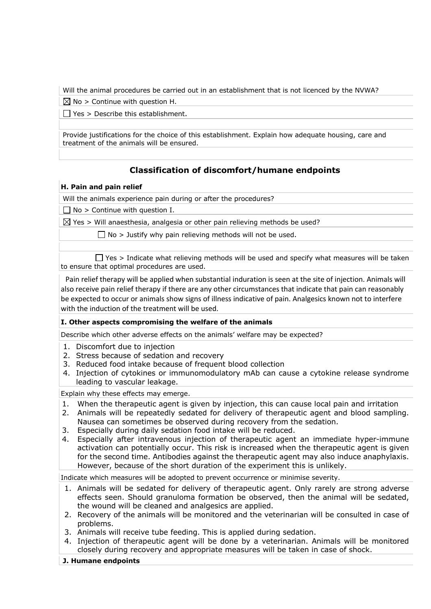Will the animal procedures be carried out in an establishment that is not licenced by the NVWA?

 $\boxtimes$  No > Continue with question H.

 $\Box$  Yes > Describe this establishment.

Provide justifications for the choice of this establishment. Explain how adequate housing, care and treatment of the animals will be ensured.

# **Classification of discomfort/humane endpoints**

# **H. Pain and pain relief**

Will the animals experience pain during or after the procedures?

 $\Box$  No > Continue with question I.

 $\boxtimes$  Yes > Will anaesthesia, analgesia or other pain relieving methods be used?

 $\Box$  No > Justify why pain relieving methods will not be used.

 $\Box$  Yes > Indicate what relieving methods will be used and specify what measures will be taken to ensure that optimal procedures are used.

 Pain relief therapy will be applied when substantial induration is seen at the site of injection. Animals will also receive pain relief therapy if there are any other circumstances that indicate that pain can reasonably be expected to occur or animals show signs of illness indicative of pain. Analgesics known not to interfere with the induction of the treatment will be used.

## **I. Other aspects compromising the welfare of the animals**

Describe which other adverse effects on the animals' welfare may be expected?

- 1. Discomfort due to injection
- 2. Stress because of sedation and recovery
- 3. Reduced food intake because of frequent blood collection
- 4. Injection of cytokines or immunomodulatory mAb can cause a cytokine release syndrome leading to vascular leakage.

Explain why these effects may emerge.

- 1. When the therapeutic agent is given by injection, this can cause local pain and irritation
- 2. Animals will be repeatedly sedated for delivery of therapeutic agent and blood sampling. Nausea can sometimes be observed during recovery from the sedation.
- 3. Especially during daily sedation food intake will be reduced.
- 4. Especially after intravenous injection of therapeutic agent an immediate hyper-immune activation can potentially occur. This risk is increased when the therapeutic agent is given for the second time. Antibodies against the therapeutic agent may also induce anaphylaxis. However, because of the short duration of the experiment this is unlikely.

Indicate which measures will be adopted to prevent occurrence or minimise severity.

- 1. Animals will be sedated for delivery of therapeutic agent. Only rarely are strong adverse effects seen. Should granuloma formation be observed, then the animal will be sedated, the wound will be cleaned and analgesics are applied.
- 2. Recovery of the animals will be monitored and the veterinarian will be consulted in case of problems.
- 3. Animals will receive tube feeding. This is applied during sedation.
- 4. Injection of therapeutic agent will be done by a veterinarian. Animals will be monitored closely during recovery and appropriate measures will be taken in case of shock.
- **J. Humane endpoints**